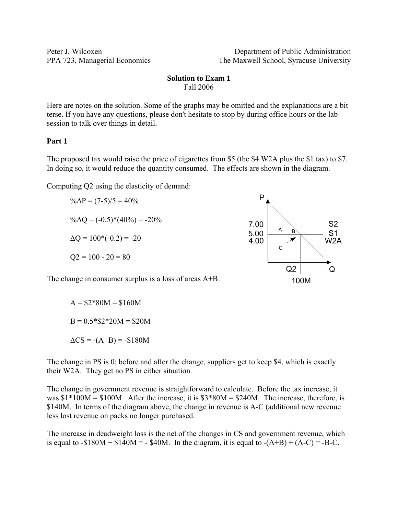Peter J. Wilcoxen Department of Public Administration PPA 723, Managerial Economics The Maxwell School, Syracuse University

### **Solution to Exam 1**  Fall 2006

Here are notes on the solution. Some of the graphs may be omitted and the explanations are a bit terse. If you have any questions, please don't hesitate to stop by during office hours or the lab session to talk over things in detail.

### **Part 1**

The proposed tax would raise the price of cigarettes from \$5 (the \$4 W2A plus the \$1 tax) to \$7. In doing so, it would reduce the quantity consumed. The effects are shown in the diagram.

Computing Q2 using the elasticity of demand:

 $\% \Delta P = (7-5)/5 = 40\%$  $\% \Delta Q = (-0.5)^*(40\%) = -20\%$  $\Delta Q = 100*(-0.2) = -20$  $Q2 = 100 - 20 = 80$ 

The change in consumer surplus is a loss of areas A+B:

 $A = $2*80M = $160M$  $B = 0.5 * $2 * 20M = $20M$  $\Delta CS = -(A+B) = -\$180M$ 

The change in PS is 0: before and after the change, suppliers get to keep \$4, which is exactly their W2A. They get no PS in either situation.

The change in government revenue is straightforward to calculate. Before the tax increase, it was  $$1*100M = $100M$ . After the increase, it is  $$3*80M = $240M$ . The increase, therefore, is \$140M. In terms of the diagram above, the change in revenue is A-C (additional new revenue less lost revenue on packs no longer purchased.

The increase in deadweight loss is the net of the changes in CS and government revenue, which is equal to  $-180M + 140M = -840M$ . In the diagram, it is equal to  $-(A+B) + (A-C) = -B-C$ .

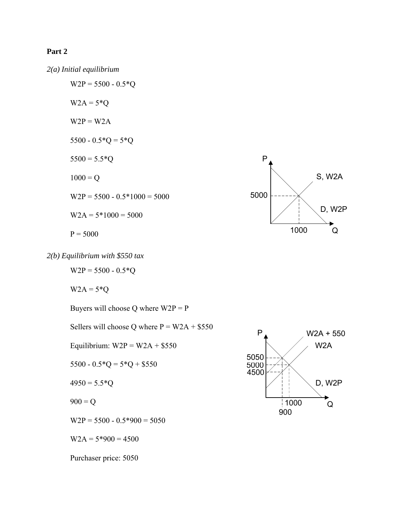# **Part 2**







 $W2P = 5500 - 0.5*Q$ 

 $W2A = 5*Q$ 

Buyers will choose Q where  $W2P = P$ 

Sellers will choose Q where  $P = W2A + $550$ 

Equilibrium:  $W2P = W2A + $550$ 

5500 -  $0.5 \text{*} Q = 5 \text{*} Q + $550$ 

 $4950 = 5.5*Q$ 

 $900 = Q$ 

 $W2P = 5500 - 0.5*900 = 5050$ 

 $W2A = 5*900 = 4500$ 

Purchaser price: 5050

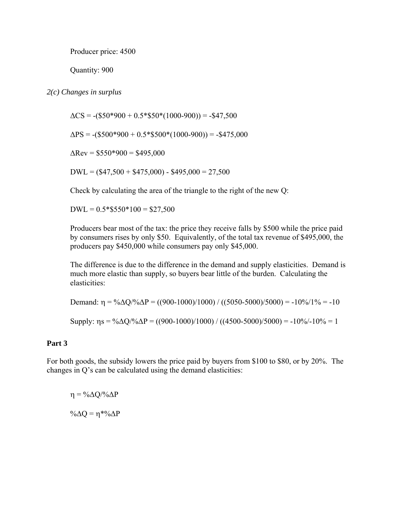Producer price: 4500

Quantity: 900

## *2(c) Changes in surplus*

 $\Delta CS = -(\$50*900 + 0.5*\$50*(1000-900)) = -\$47,500$ 

 $\Delta PS = -(\$500*900 + 0.5*\$500*(1000-900)) = -\$475,000$ 

 $\Delta$ Rev = \$550\*900 = \$495,000

 $DWL = (\$47,500 + \$475,000) - \$495,000 = 27,500$ 

Check by calculating the area of the triangle to the right of the new Q:

 $DWL = 0.5 * $550 * 100 = $27,500$ 

Producers bear most of the tax: the price they receive falls by \$500 while the price paid by consumers rises by only \$50. Equivalently, of the total tax revenue of \$495,000, the producers pay \$450,000 while consumers pay only \$45,000.

The difference is due to the difference in the demand and supply elasticities. Demand is much more elastic than supply, so buyers bear little of the burden. Calculating the elasticities:

Demand: η = %ΔQ/%ΔP = ((900-1000)/1000) / ((5050-5000)/5000) = -10%/1% = -10

Supply:  $\eta s = \frac{6}{\Delta Q} \left( \frac{900 - 1000}{1000} \right) / \left( \frac{(4500 - 5000)}{5000} \right) = -10\% - 10\% = 1$ 

### **Part 3**

For both goods, the subsidy lowers the price paid by buyers from \$100 to \$80, or by 20%. The changes in Q's can be calculated using the demand elasticities:

 $\eta = \frac{0}{\Delta} \frac{\Delta Q}{\Delta P}$ % $\Delta Q = \eta * \% \Delta P$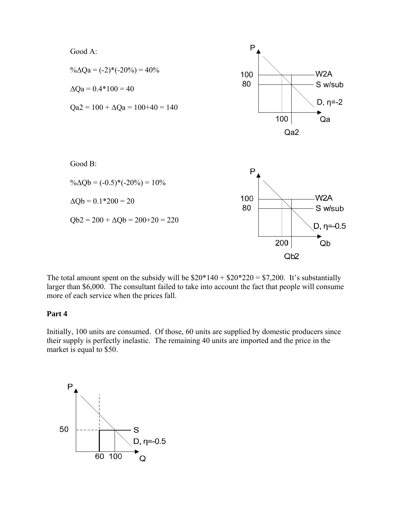

The total amount spent on the subsidy will be  $\$20*140 + \$20*220 = \$7,200$ . It's substantially larger than \$6,000. The consultant failed to take into account the fact that people will consume more of each service when the prices fall.

### **Part 4**

Initially, 100 units are consumed. Of those, 60 units are supplied by domestic producers since their supply is perfectly inelastic. The remaining 40 units are imported and the price in the market is equal to \$50.